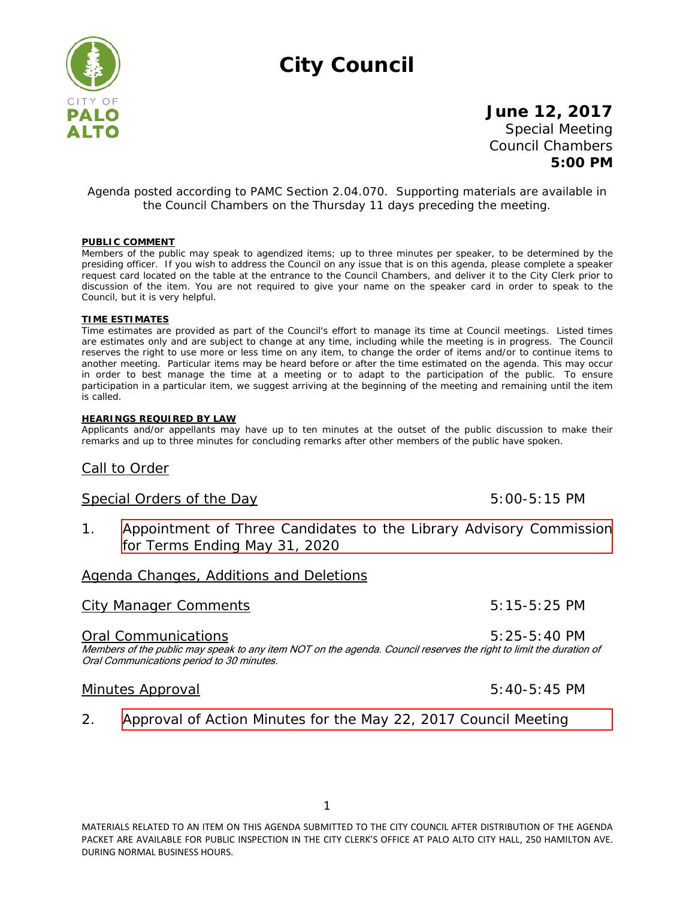# **City Council**



# **June 12, 2017** Special Meeting Council Chambers **5:00 PM**

### *Agenda posted according to PAMC Section 2.04.070. Supporting materials are available in the Council Chambers on the Thursday 11 days preceding the meeting.*

#### **PUBLIC COMMENT**

Members of the public may speak to agendized items; up to three minutes per speaker, to be determined by the presiding officer. If you wish to address the Council on any issue that is on this agenda, please complete a speaker request card located on the table at the entrance to the Council Chambers, and deliver it to the City Clerk prior to discussion of the item. You are not required to give your name on the speaker card in order to speak to the Council, but it is very helpful.

#### **TIME ESTIMATES**

Time estimates are provided as part of the Council's effort to manage its time at Council meetings. Listed times are estimates only and are subject to change at any time, including while the meeting is in progress. The Council reserves the right to use more or less time on any item, to change the order of items and/or to continue items to another meeting. Particular items may be heard before or after the time estimated on the agenda. This may occur in order to best manage the time at a meeting or to adapt to the participation of the public. To ensure participation in a particular item, we suggest arriving at the beginning of the meeting and remaining until the item is called.

#### **HEARINGS REQUIRED BY LAW**

Applicants and/or appellants may have up to ten minutes at the outset of the public discussion to make their remarks and up to three minutes for concluding remarks after other members of the public have spoken.

## Call to Order

## Special Orders of the Day 5:00-5:15 PM

1. [Appointment of Three Candidates to the Library Advisory Commission](http://www.cityofpaloalto.org/civicax/filebank/blobdload.aspx?BlobID=58099)  for Terms Ending May 31, 2020

# Agenda Changes, Additions and Deletions

## City Manager Comments 6:15-5:25 PM

### Oral Communications 5:25-5:40 PM

Members of the public may speak to any item NOT on the agenda. Council reserves the right to limit the duration of Oral Communications period to 30 minutes.

## Minutes Approval and the state of the State of State 5:40-5:45 PM

2. [Approval of Action Minutes for the May 22, 2017 Council Meeting](http://www.cityofpaloalto.org/civicax/filebank/blobdload.aspx?BlobID=58098)

MATERIALS RELATED TO AN ITEM ON THIS AGENDA SUBMITTED TO THE CITY COUNCIL AFTER DISTRIBUTION OF THE AGENDA PACKET ARE AVAILABLE FOR PUBLIC INSPECTION IN THE CITY CLERK'S OFFICE AT PALO ALTO CITY HALL, 250 HAMILTON AVE. DURING NORMAL BUSINESS HOURS.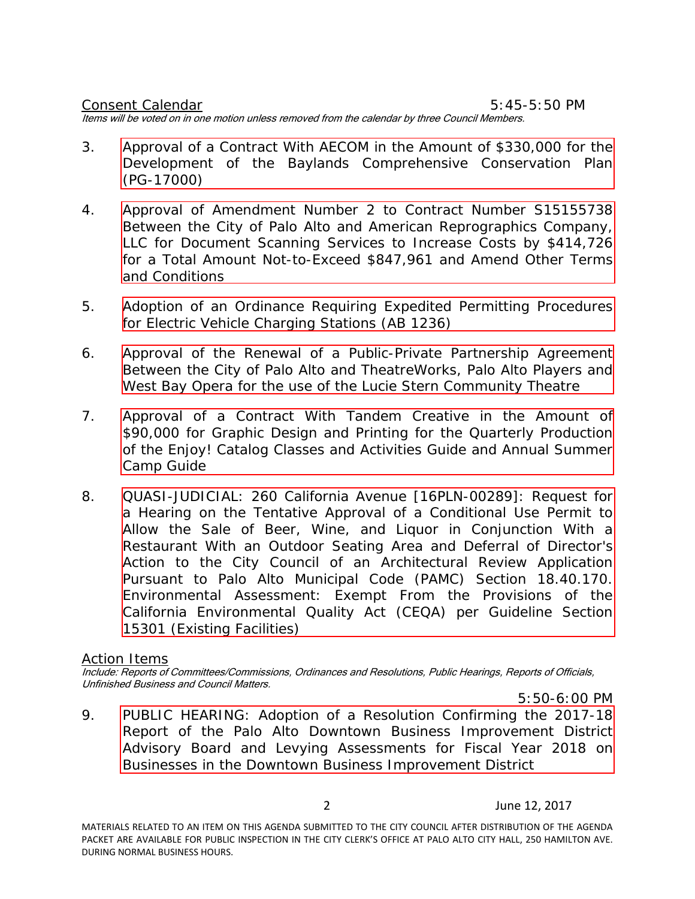Consent Calendar 6:45-5:50 PM

Items will be voted on in one motion unless removed from the calendar by three Council Members.

- 3. [Approval of a Contract With AECOM in the Amount of \\$330,000 for the](http://www.cityofpaloalto.org/civicax/filebank/blobdload.aspx?BlobID=58082) Development of the Baylands Comprehensive Conservation Plan (PG-17000)
- 4. Approval of Amendment Number 2 to Contract Number S15155738 Between the City of Palo Alto and American Reprographics Company, LLC for Document Scanning Services to Increase Costs by \$414,726 [for a Total Amount Not-to-Exceed \\$847,961 and Amend Other Terms](http://www.cityofpaloalto.org/civicax/filebank/blobdload.aspx?BlobID=58079) and Conditions
- 5. [Adoption of an Ordinance Requiring Expedited Permitting Procedures](http://www.cityofpaloalto.org/civicax/filebank/blobdload.aspx?BlobID=58086) for Electric Vehicle Charging Stations (AB 1236)
- 6. [Approval of the Renewal of a Public-Private Partnership Agreement](http://www.cityofpaloalto.org/civicax/filebank/blobdload.aspx?BlobID=58081) Between the City of Palo Alto and TheatreWorks, Palo Alto Players and West Bay Opera for the use of the Lucie Stern Community Theatre
- 7. [Approval of a Contract With Tandem Creative in the Amount of](http://www.cityofpaloalto.org/civicax/filebank/blobdload.aspx?BlobID=58080) \$90,000 for Graphic Design and Printing for the Quarterly Production of the Enjoy! Catalog Classes and Activities Guide and Annual Summer Camp Guide
- 8. QUASI-JUDICIAL: 260 California Avenue [16PLN-00289]: Request for a Hearing on the Tentative Approval of a Conditional Use Permit to Allow the Sale of Beer, Wine, and Liquor in Conjunction With a [Restaurant With an Outdoor Seating Area and Deferral of Director's](http://www.cityofpaloalto.org/civicax/filebank/blobdload.aspx?BlobID=58202) Action to the City Council of an Architectural Review Application Pursuant to Palo Alto Municipal Code (PAMC) Section 18.40.170. Environmental Assessment: Exempt From the Provisions of the California Environmental Quality Act (CEQA) per Guideline Section 15301 (Existing Facilities)

# Action Items

Include: Reports of Committees/Commissions, Ordinances and Resolutions, Public Hearings, Reports of Officials, Unfinished Business and Council Matters.

5:50-6:00 PM 9. PUBLIC HEARING: Adoption of a Resolution Confirming the 2017-18 [Report of the Palo Alto Downtown Business Improvement District](http://www.cityofpaloalto.org/civicax/filebank/blobdload.aspx?BlobID=58072)  Advisory Board and Levying Assessments for Fiscal Year 2018 on Businesses in the Downtown Business Improvement District

2 June 12, 2017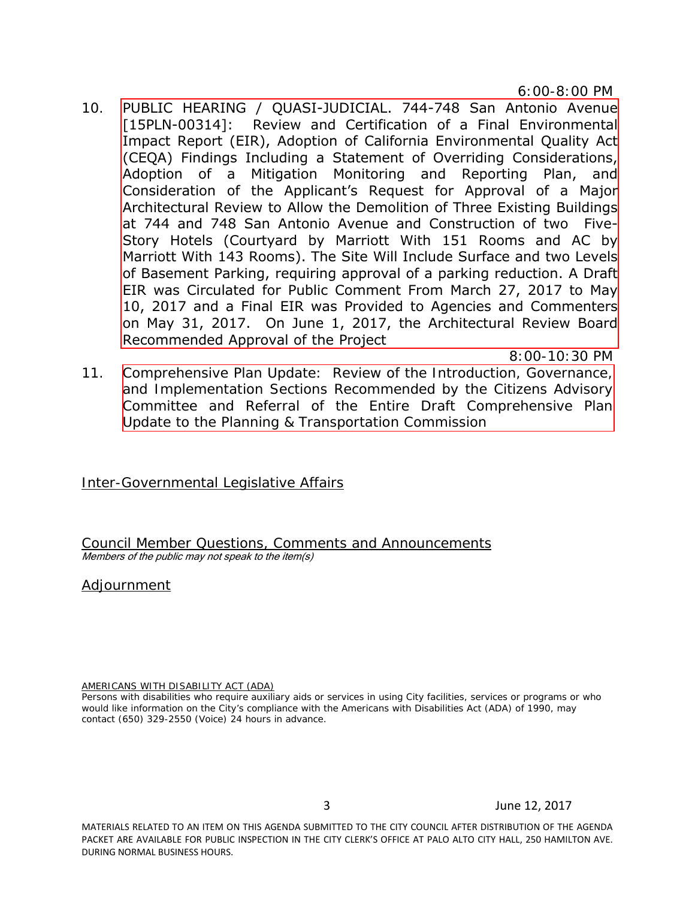6:00-8:00 PM

10. PUBLIC HEARING / QUASI-JUDICIAL. 744-748 San Antonio Avenue [15PLN-00314]: Review and Certification of a Final Environmental Impact Report (EIR), Adoption of California Environmental Quality Act [\(CEQA\) Findings Including a Statement of Overriding Considerations,](http://www.cityofpaloalto.org/civicax/filebank/blobdload.aspx?BlobID=58203)  Adoption of a Mitigation Monitoring and Reporting Plan, and Consideration of the Applicant's Request for Approval of a Major Architectural Review to Allow the Demolition of Three Existing Buildings at 744 and 748 San Antonio Avenue and Construction of two Five-Story Hotels (Courtyard by Marriott With 151 Rooms and AC by Marriott With 143 Rooms). The Site Will Include Surface and two Levels of Basement Parking, requiring approval of a parking reduction. A Draft EIR was Circulated for Public Comment From March 27, 2017 to May 10, 2017 and a Final EIR was Provided to Agencies and Commenters on May 31, 2017. On June 1, 2017, the Architectural Review Board Recommended Approval of the Project

8:00-10:30 PM

11. [Comprehensive Plan Update: Review of the Introduction, Governance,](http://www.cityofpaloalto.org/civicax/filebank/blobdload.aspx?BlobID=58071) and Implementation Sections Recommended by the Citizens Advisory Committee and Referral of the Entire Draft Comprehensive Plan Update to the Planning & Transportation Commission

Inter-Governmental Legislative Affairs

Council Member Questions, Comments and Announcements Members of the public may not speak to the item(s)

# Adjournment

### AMERICANS WITH DISABILITY ACT (ADA)

Persons with disabilities who require auxiliary aids or services in using City facilities, services or programs or who would like information on the City's compliance with the Americans with Disabilities Act (ADA) of 1990, may contact (650) 329-2550 (Voice) 24 hours in advance.

MATERIALS RELATED TO AN ITEM ON THIS AGENDA SUBMITTED TO THE CITY COUNCIL AFTER DISTRIBUTION OF THE AGENDA PACKET ARE AVAILABLE FOR PUBLIC INSPECTION IN THE CITY CLERK'S OFFICE AT PALO ALTO CITY HALL, 250 HAMILTON AVE. DURING NORMAL BUSINESS HOURS.

3 June 12, 2017